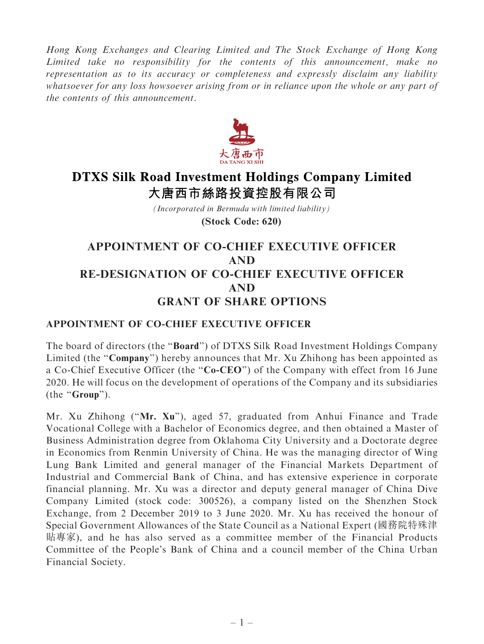Hong Kong Exchanges and Clearing Limited and The Stock Exchange of Hong Kong Limited take no responsibility for the contents of this announcement, make no representation as to its accuracy or completeness and expressly disclaim any liability whatsoever for any loss howsoever arising from or in reliance upon the whole or any part of the contents of this announcement.



# **DTXS Silk Road Investment Holdings Company Limited** 大唐西市絲路投資控股有限公司

*(Incorporated in Bermuda with limited liability)* **(Stock Code: 620)**

## APPOINTMENT OF CO-CHIEF EXECUTIVE OFFICER AND RE-DESIGNATION OF CO-CHIEF EXECUTIVE OFFICER AND GRANT OF SHARE OPTIONS

#### APPOINTMENT OF CO-CHIEF EXECUTIVE OFFICER

The board of directors (the ''Board'') of DTXS Silk Road Investment Holdings Company Limited (the "**Company**") hereby announces that Mr. Xu Zhihong has been appointed as a Co-Chief Executive Officer (the "Co-CEO") of the Company with effect from 16 June 2020. He will focus on the development of operations of the Company and its subsidiaries (the "Group").

Mr. Xu Zhihong (''Mr. Xu''), aged 57, graduated from Anhui Finance and Trade Vocational College with a Bachelor of Economics degree, and then obtained a Master of Business Administration degree from Oklahoma City University and a Doctorate degree in Economics from Renmin University of China. He was the managing director of Wing Lung Bank Limited and general manager of the Financial Markets Department of Industrial and Commercial Bank of China, and has extensive experience in corporate financial planning. Mr. Xu was a director and deputy general manager of China Dive Company Limited (stock code: 300526), a company listed on the Shenzhen Stock Exchange, from 2 December 2019 to 3 June 2020. Mr. Xu has received the honour of Special Government Allowances of the State Council as a National Expert (國務院特殊津 貼專家), and he has also served as a committee member of the Financial Products Committee of the People's Bank of China and a council member of the China Urban Financial Society.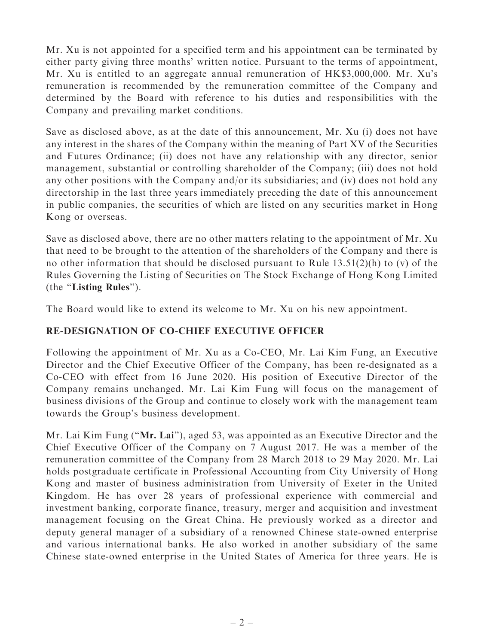Mr. Xu is not appointed for a specified term and his appointment can be terminated by either party giving three months' written notice. Pursuant to the terms of appointment, Mr. Xu is entitled to an aggregate annual remuneration of HK\$3,000,000. Mr. Xu's remuneration is recommended by the remuneration committee of the Company and determined by the Board with reference to his duties and responsibilities with the Company and prevailing market conditions.

Save as disclosed above, as at the date of this announcement, Mr. Xu (i) does not have any interest in the shares of the Company within the meaning of Part XV of the Securities and Futures Ordinance; (ii) does not have any relationship with any director, senior management, substantial or controlling shareholder of the Company; (iii) does not hold any other positions with the Company and/or its subsidiaries; and (iv) does not hold any directorship in the last three years immediately preceding the date of this announcement in public companies, the securities of which are listed on any securities market in Hong Kong or overseas.

Save as disclosed above, there are no other matters relating to the appointment of Mr. Xu that need to be brought to the attention of the shareholders of the Company and there is no other information that should be disclosed pursuant to Rule  $13.51(2)(h)$  to (v) of the Rules Governing the Listing of Securities on The Stock Exchange of Hong Kong Limited (the ''Listing Rules'').

The Board would like to extend its welcome to Mr. Xu on his new appointment.

### RE-DESIGNATION OF CO-CHIEF EXECUTIVE OFFICER

Following the appointment of Mr. Xu as a Co-CEO, Mr. Lai Kim Fung, an Executive Director and the Chief Executive Officer of the Company, has been re-designated as a Co-CEO with effect from 16 June 2020. His position of Executive Director of the Company remains unchanged. Mr. Lai Kim Fung will focus on the management of business divisions of the Group and continue to closely work with the management team towards the Group's business development.

Mr. Lai Kim Fung ("Mr. Lai"), aged 53, was appointed as an Executive Director and the Chief Executive Officer of the Company on 7 August 2017. He was a member of the remuneration committee of the Company from 28 March 2018 to 29 May 2020. Mr. Lai holds postgraduate certificate in Professional Accounting from City University of Hong Kong and master of business administration from University of Exeter in the United Kingdom. He has over 28 years of professional experience with commercial and investment banking, corporate finance, treasury, merger and acquisition and investment management focusing on the Great China. He previously worked as a director and deputy general manager of a subsidiary of a renowned Chinese state-owned enterprise and various international banks. He also worked in another subsidiary of the same Chinese state-owned enterprise in the United States of America for three years. He is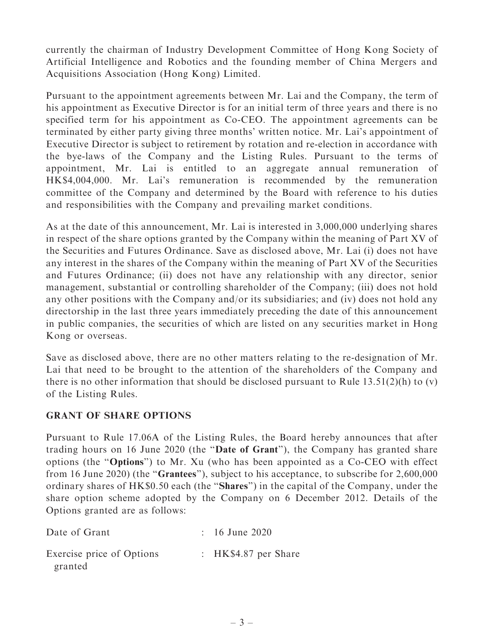currently the chairman of Industry Development Committee of Hong Kong Society of Artificial Intelligence and Robotics and the founding member of China Mergers and Acquisitions Association (Hong Kong) Limited.

Pursuant to the appointment agreements between Mr. Lai and the Company, the term of his appointment as Executive Director is for an initial term of three years and there is no specified term for his appointment as Co-CEO. The appointment agreements can be terminated by either party giving three months' written notice. Mr. Lai's appointment of Executive Director is subject to retirement by rotation and re-election in accordance with the bye-laws of the Company and the Listing Rules. Pursuant to the terms of appointment, Mr. Lai is entitled to an aggregate annual remuneration of HK\$4,004,000. Mr. Lai's remuneration is recommended by the remuneration committee of the Company and determined by the Board with reference to his duties and responsibilities with the Company and prevailing market conditions.

As at the date of this announcement, Mr. Lai is interested in 3,000,000 underlying shares in respect of the share options granted by the Company within the meaning of Part XV of the Securities and Futures Ordinance. Save as disclosed above, Mr. Lai (i) does not have any interest in the shares of the Company within the meaning of Part XV of the Securities and Futures Ordinance; (ii) does not have any relationship with any director, senior management, substantial or controlling shareholder of the Company; (iii) does not hold any other positions with the Company and/or its subsidiaries; and (iv) does not hold any directorship in the last three years immediately preceding the date of this announcement in public companies, the securities of which are listed on any securities market in Hong Kong or overseas.

Save as disclosed above, there are no other matters relating to the re-designation of Mr. Lai that need to be brought to the attention of the shareholders of the Company and there is no other information that should be disclosed pursuant to Rule  $13.51(2)(h)$  to (v) of the Listing Rules.

#### GRANT OF SHARE OPTIONS

Pursuant to Rule 17.06A of the Listing Rules, the Board hereby announces that after trading hours on 16 June 2020 (the ''Date of Grant''), the Company has granted share options (the ''Options'') to Mr. Xu (who has been appointed as a Co-CEO with effect from 16 June 2020) (the ''Grantees''), subject to his acceptance, to subscribe for 2,600,000 ordinary shares of HK\$0.50 each (the ''Shares'') in the capital of the Company, under the share option scheme adopted by the Company on 6 December 2012. Details of the Options granted are as follows:

| Date of Grant                        | $: 16$ June 2020      |
|--------------------------------------|-----------------------|
| Exercise price of Options<br>granted | : $HK$4.87$ per Share |